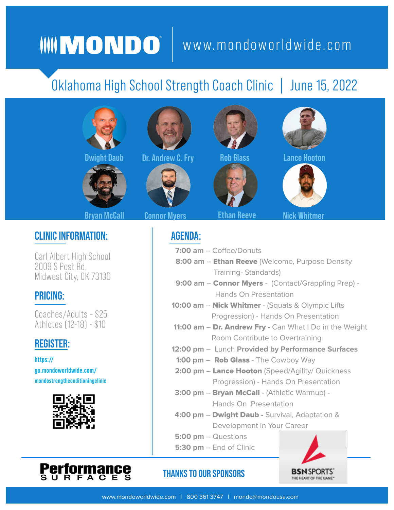# WWWW.mondoworldwide.com

## Oklahoma High School Strength Coach Clinic | June 15, 2022





#### **Bryan McCall Connor Myers**

#### **CLINIC INFORMATION:**

Carl Albert High School 2009 S Post Rd, Midwest City, OK 73130

#### **PRICING:**

Coaches/Adults – \$25 Athletes (12-18) - \$10

### **REGISTER:**

**https:// go.mondoworldwide.com/ [mondostrengthconditioningclinic](https://go.mondoworldwide.com/mondostrengthconditioningclinic)**







**Dwight Daub by: Andrew C. Fry Rob Glass Clance Hooton** *Rob* **Clance Algorithmen and Algorithmen and Algorithmen and Algorithmen and Algorithmen and Algorithmen and Algorithmen and Algorithmen and Algorithmen and Algorithme** 







**Ethan Reeve Nick Whitme** 





**AGENDA:**

 **7:00 am** – Coffee/Donuts

- **8:00 am** Ethan Reeve (Welcome, Purpose Density Training- Standards)
- 9:00 am Connor Myers (Contact/Grappling Prep) -Hands On Presentation
- **10:00 am** Nick Whitmer (Squats & Olympic Lifts Progression) - Hands On Presentation
- **11:00 am Dr. Andrew Fry Can What I Do in the Weight** Room Contribute to Overtraining
- **12:00 pm** Lunch **Provided by Performance Surfaces**
	- **1:00 pm** Rob Glass The Cowboy Way
- 2:00 pm Lance Hooton (Speed/Agility/ Quickness Progression) - Hands On Presentation
- **3:00 pm** Bryan McCall (Athletic Warmup) Hands On Presentation
- **4:00 pm** Dwight Daub Survival, Adaptation & Development in Your Career
- **5:00 pm** Questions
- **5:30 pm** End of Clinic



#### **THANKS TO OUR SPONSORS**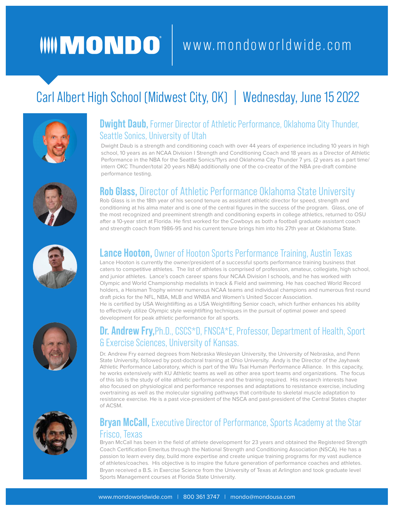# WWWW.mondoworldwide.com

### Carl Albert High School (Midwest City, OK) | Wednesday, June 15 2022



#### **Dwight Daub,** Former Director of Athletic Performance, Oklahoma City Thunder, Seattle Sonics, University of Utah

Dwight Daub is a strength and conditioning coach with over 44 years of experience including 10 years in high school, 10 years as an NCAA Division I Strength and Conditioning Coach and 18 years as a Director of Athletic Performance in the NBA for the Seattle Sonics/11yrs and Oklahoma City Thunder 7 yrs. (2 years as a part time/ intern OKC Thunder/total 20 years NBA) additionally one of the co-creator of the NBA pre-draft combine performance testing.



#### **Rob Glass,** Director of Athletic Performance Oklahoma State University

Rob Glass is in the 18th year of his second tenure as assistant athletic director for speed, strength and conditioning at his alma mater and is one of the central figures in the success of the program. Glass, one of the most recognized and preeminent strength and conditioning experts in college athletics, returned to OSU after a 10-year stint at Florida. He first worked for the Cowboys as both a football graduate assistant coach and strength coach from 1986-95 and his current tenure brings him into his 27th year at Oklahoma State.



#### **Lance Hooton,** Owner of Hooton Sports Performance Training, Austin Texas

Lance Hooton is currently the owner/president of a successful sports performance training business that caters to competitive athletes. The list of athletes is comprised of profession, amateur, collegiate, high school, and junior athletes. Lance's coach career spans four NCAA Division I schools, and he has worked with Olympic and World Championship medalists in track & Field and swimming. He has coached World Record holders, a Heisman Trophy winner numerous NCAA teams and individual champions and numerous first round draft picks for the NFL, NBA, MLB and WNBA and Women's United Soccer Association. He is certified by USA Weightlifting as a USA Weightlifting Senior coach, which further enhances his ability

to effectively utilize Olympic style weightlifting techniques in the pursuit of optimal power and speed development for peak athletic performance for all sports.

#### **Dr. Andrew Fry,**Ph.D., CSCS\*D, FNSCA\*E, Professor, Department of Health, Sport & Exercise Sciences, University of Kansas.

Dr. Andrew Fry earned degrees from Nebraska Wesleyan University, the University of Nebraska, and Penn State University, followed by post-doctoral training at Ohio University. Andy is the Director of the Jayhawk Athletic Performance Laboratory, which is part of the Wu Tsai Human Performance Alliance. In this capacity, he works extensively with KU Athletic teams as well as other area sport teams and organizations. The focus of this lab is the study of elite athletic performance and the training required. His research interests have also focused on physiological and performance responses and adaptations to resistance exercise, including overtraining as well as the molecular signaling pathways that contribute to skeletal muscle adaptation to resistance exercise. He is a past vice-president of the NSCA and past-president of the Central States chapter of ACSM.

#### **Bryan McCall,** Executive Director of Performance, Sports Academy at the Star Frisco, Texas

Bryan McCall has been in the field of athlete development for 23 years and obtained the Registered Strength Coach Certification Emeritus through the National Strength and Conditioning Association (NSCA). He has a passion to learn every day, build more expertise and create unique training programs for my vast audience of athletes/coaches. His objective is to inspire the future generation of performance coaches and athletes. Bryan received a B.S. in Exercise Science from the University of Texas at Arlington and took graduate level Sports Management courses at Florida State University.